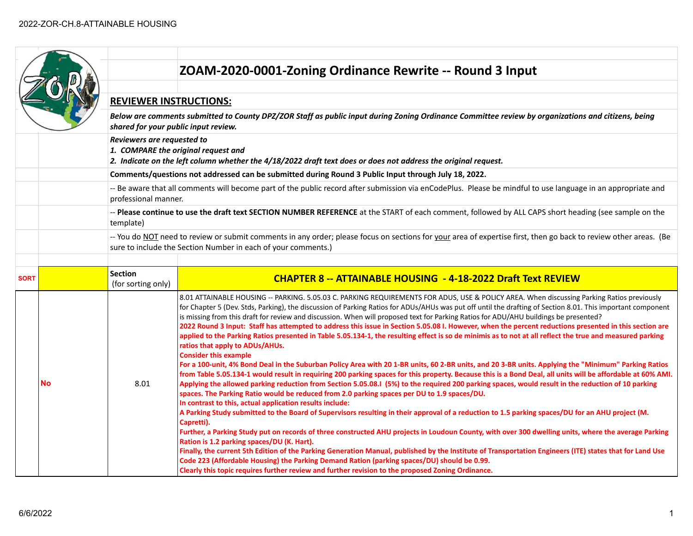|                      |    |                                                                                                                                                                                            | ZOAM-2020-0001-Zoning Ordinance Rewrite -- Round 3 Input                                                                                                                                                                                                                                                                                                                                                                                                                                                                                                                                                                                                                                                                                                                                                                                                                                                                                                                                                                                                                                                                                                                                                                                                                                                                 |  |
|----------------------|----|--------------------------------------------------------------------------------------------------------------------------------------------------------------------------------------------|--------------------------------------------------------------------------------------------------------------------------------------------------------------------------------------------------------------------------------------------------------------------------------------------------------------------------------------------------------------------------------------------------------------------------------------------------------------------------------------------------------------------------------------------------------------------------------------------------------------------------------------------------------------------------------------------------------------------------------------------------------------------------------------------------------------------------------------------------------------------------------------------------------------------------------------------------------------------------------------------------------------------------------------------------------------------------------------------------------------------------------------------------------------------------------------------------------------------------------------------------------------------------------------------------------------------------|--|
|                      |    |                                                                                                                                                                                            |                                                                                                                                                                                                                                                                                                                                                                                                                                                                                                                                                                                                                                                                                                                                                                                                                                                                                                                                                                                                                                                                                                                                                                                                                                                                                                                          |  |
|                      |    | <b>REVIEWER INSTRUCTIONS:</b>                                                                                                                                                              |                                                                                                                                                                                                                                                                                                                                                                                                                                                                                                                                                                                                                                                                                                                                                                                                                                                                                                                                                                                                                                                                                                                                                                                                                                                                                                                          |  |
|                      |    | Below are comments submitted to County DPZ/ZOR Staff as public input during Zoning Ordinance Committee review by organizations and citizens, being<br>shared for your public input review. |                                                                                                                                                                                                                                                                                                                                                                                                                                                                                                                                                                                                                                                                                                                                                                                                                                                                                                                                                                                                                                                                                                                                                                                                                                                                                                                          |  |
|                      |    | Reviewers are requested to<br>1. COMPARE the original request and<br>2. Indicate on the left column whether the 4/18/2022 draft text does or does not address the original request.        |                                                                                                                                                                                                                                                                                                                                                                                                                                                                                                                                                                                                                                                                                                                                                                                                                                                                                                                                                                                                                                                                                                                                                                                                                                                                                                                          |  |
|                      |    | Comments/questions not addressed can be submitted during Round 3 Public Input through July 18, 2022.                                                                                       |                                                                                                                                                                                                                                                                                                                                                                                                                                                                                                                                                                                                                                                                                                                                                                                                                                                                                                                                                                                                                                                                                                                                                                                                                                                                                                                          |  |
| professional manner. |    | -- Be aware that all comments will become part of the public record after submission via enCodePlus. Please be mindful to use language in an appropriate and                               |                                                                                                                                                                                                                                                                                                                                                                                                                                                                                                                                                                                                                                                                                                                                                                                                                                                                                                                                                                                                                                                                                                                                                                                                                                                                                                                          |  |
| template)            |    | -- Please continue to use the draft text SECTION NUMBER REFERENCE at the START of each comment, followed by ALL CAPS short heading (see sample on the                                      |                                                                                                                                                                                                                                                                                                                                                                                                                                                                                                                                                                                                                                                                                                                                                                                                                                                                                                                                                                                                                                                                                                                                                                                                                                                                                                                          |  |
|                      |    |                                                                                                                                                                                            | -- You do NOT need to review or submit comments in any order; please focus on sections for your area of expertise first, then go back to review other areas. (Be<br>sure to include the Section Number in each of your comments.)                                                                                                                                                                                                                                                                                                                                                                                                                                                                                                                                                                                                                                                                                                                                                                                                                                                                                                                                                                                                                                                                                        |  |
|                      |    |                                                                                                                                                                                            |                                                                                                                                                                                                                                                                                                                                                                                                                                                                                                                                                                                                                                                                                                                                                                                                                                                                                                                                                                                                                                                                                                                                                                                                                                                                                                                          |  |
| <b>SORT</b>          |    | Section<br>(for sorting only)                                                                                                                                                              | <b>CHAPTER 8 -- ATTAINABLE HOUSING - 4-18-2022 Draft Text REVIEW</b>                                                                                                                                                                                                                                                                                                                                                                                                                                                                                                                                                                                                                                                                                                                                                                                                                                                                                                                                                                                                                                                                                                                                                                                                                                                     |  |
|                      | No | 8.01                                                                                                                                                                                       | 8.01 ATTAINABLE HOUSING -- PARKING. 5.05.03 C. PARKING REQUIREMENTS FOR ADUS, USE & POLICY AREA. When discussing Parking Ratios previously<br>for Chapter 5 (Dev. Stds, Parking), the discussion of Parking Ratios for ADUs/AHUs was put off until the drafting of Section 8.01. This important component<br>is missing from this draft for review and discussion. When will proposed text for Parking Ratios for ADU/AHU buildings be presented?<br>2022 Round 3 Input: Staff has attempted to address this issue in Section 5.05.08 I. However, when the percent reductions presented in this section are<br>applied to the Parking Ratios presented in Table 5.05.134-1, the resulting effect is so de minimis as to not at all reflect the true and measured parking<br>ratios that apply to ADUs/AHUs.<br><b>Consider this example</b><br>For a 100-unit, 4% Bond Deal in the Suburban Policy Area with 20 1-BR units, 60 2-BR units, and 20 3-BR units. Applying the "Minimum" Parking Ratios<br>from Table 5.05.134-1 would result in requiring 200 parking spaces for this property. Because this is a Bond Deal, all units will be affordable at 60% AMI.<br>Applying the allowed parking reduction from Section 5.05.08.I (5%) to the required 200 parking spaces, would result in the reduction of 10 parking |  |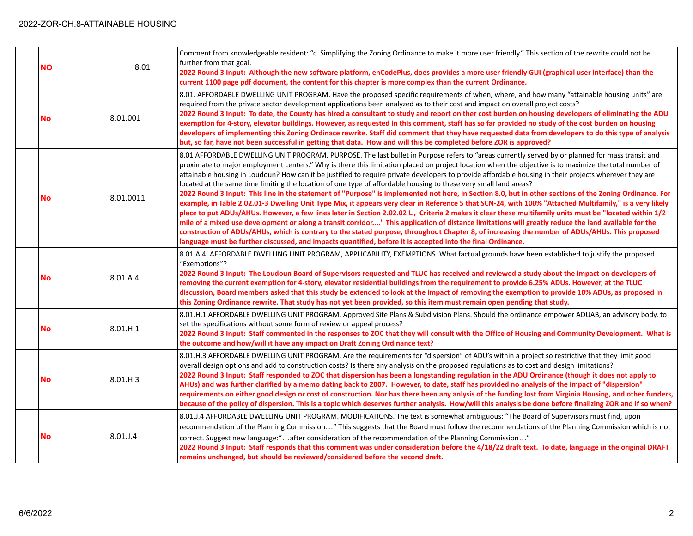| <b>NO</b> | 8.01      | Comment from knowledgeable resident: "c. Simplifying the Zoning Ordinance to make it more user friendly." This section of the rewrite could not be<br>further from that goal.<br>2022 Round 3 Input: Although the new software platform, enCodePlus, does provides a more user friendly GUI (graphical user interface) than the<br>current 1100 page pdf document, the content for this chapter is more complex than the current Ordinance.                                                                                                                                                                                                                                                                                                                                                                                                                                                                                                                                                                                                                                                                                                                                                                                                                                                                                                                                                                                                                                                       |
|-----------|-----------|---------------------------------------------------------------------------------------------------------------------------------------------------------------------------------------------------------------------------------------------------------------------------------------------------------------------------------------------------------------------------------------------------------------------------------------------------------------------------------------------------------------------------------------------------------------------------------------------------------------------------------------------------------------------------------------------------------------------------------------------------------------------------------------------------------------------------------------------------------------------------------------------------------------------------------------------------------------------------------------------------------------------------------------------------------------------------------------------------------------------------------------------------------------------------------------------------------------------------------------------------------------------------------------------------------------------------------------------------------------------------------------------------------------------------------------------------------------------------------------------------|
| <b>No</b> | 8.01.001  | 8.01. AFFORDABLE DWELLING UNIT PROGRAM. Have the proposed specific requirements of when, where, and how many "attainable housing units" are<br>required from the private sector development applications been analyzed as to their cost and impact on overall project costs?<br>2022 Round 3 Input: To date, the County has hired a consultant to study and report on ther cost burden on housing developers of eliminating the ADU<br>exemption for 4-story, elevator buildings. However, as requested in this comment, staff has so far provided no study of the cost burden on housing<br>developers of implementing this Zoning Ordinace rewrite. Staff did comment that they have requested data from developers to do this type of analysis<br>but, so far, have not been successful in getting that data. How and will this be completed before ZOR is approved?                                                                                                                                                                                                                                                                                                                                                                                                                                                                                                                                                                                                                           |
| No        | 8.01.0011 | 8.01 AFFORDABLE DWELLING UNIT PROGRAM, PURPOSE. The last bullet in Purpose refers to "areas currently served by or planned for mass transit and<br>proximate to major employment centers." Why is there this limitation placed on project location when the objective is to maximize the total number of<br>attainable housing in Loudoun? How can it be justified to require private developers to provide affordable housing in their projects wherever they are<br>located at the same time limiting the location of one type of affordable housing to these very small land areas?<br>2022 Round 3 Input: This line in the statement of "Purpose" is implemented not here, in Section 8.0, but in other sections of the Zoning Ordinance. For<br>example, in Table 2.02.01-3 Dwelling Unit Type Mix, it appears very clear in Reference 5 that SCN-24, with 100% "Attached Multifamily," is a very likely<br>place to put ADUs/AHUs. However, a few lines later in Section 2.02.02 L., Criteria 2 makes it clear these multifamily units must be "located within 1/2<br>mile of a mixed use development or along a transit corridor" This application of distance limitations will greatly reduce the land available for the<br>construction of ADUs/AHUs, which is contrary to the stated purpose, throughout Chapter 8, of increasing the number of ADUs/AHUs. This proposed<br>language must be further discussed, and impacts quantified, before it is accepted into the final Ordinance. |
| <b>No</b> | 8.01.A.4  | 8.01.A.4. AFFORDABLE DWELLING UNIT PROGRAM, APPLICABILITY, EXEMPTIONS. What factual grounds have been established to justify the proposed<br>"Exemptions"?<br>2022 Round 3 Input: The Loudoun Board of Supervisors requested and TLUC has received and reviewed a study about the impact on developers of<br>removing the current exemption for 4-story, elevator residential buildings from the requirement to provide 6.25% ADUs. However, at the TLUC<br>discussion, Board members asked that this study be extended to look at the impact of removing the exemption to provide 10% ADUs, as proposed in<br>this Zoning Ordinance rewrite. That study has not yet been provided, so this item must remain open pending that study.                                                                                                                                                                                                                                                                                                                                                                                                                                                                                                                                                                                                                                                                                                                                                             |
| <b>No</b> | 8.01.H.1  | 8.01.H.1 AFFORDABLE DWELLING UNIT PROGRAM, Approved Site Plans & Subdivision Plans. Should the ordinance empower ADUAB, an advisory body, to<br>set the specifications without some form of review or appeal process?<br>2022 Round 3 Input: Staff commented in the responses to ZOC that they will consult with the Office of Housing and Community Development. What is<br>the outcome and how/will it have any impact on Draft Zoning Ordinance text?                                                                                                                                                                                                                                                                                                                                                                                                                                                                                                                                                                                                                                                                                                                                                                                                                                                                                                                                                                                                                                          |
| <b>No</b> | 8.01.H.3  | 8.01.H.3 AFFORDABLE DWELLING UNIT PROGRAM. Are the requirements for "dispersion" of ADU's within a project so restrictive that they limit good<br>overall design options and add to construction costs? Is there any analysis on the proposed regulations as to cost and design limitations?<br>2022 Round 3 Input: Staff responded to ZOC that dispersion has been a longstanding regulation in the ADU Ordinance (though it does not apply to<br>AHUs) and was further clarified by a memo dating back to 2007. However, to date, staff has provided no analysis of the impact of "dispersion"<br>requirements on either good design or cost of construction. Nor has there been any anlysis of the funding lost from Virginia Housing, and other funders,<br>because of the policy of dispersion. This is a topic which deserves further analysis. How/will this analysis be done before finalizing ZOR and if so when?                                                                                                                                                                                                                                                                                                                                                                                                                                                                                                                                                                        |
| No        | 8.01.J.4  | 8.01.J.4 AFFORDABLE DWELLING UNIT PROGRAM. MODIFICATIONS. The text is somewhat ambiguous: "The Board of Supervisors must find, upon<br>recommendation of the Planning Commission" This suggests that the Board must follow the recommendations of the Planning Commission which is not<br>correct. Suggest new language:"after consideration of the recommendation of the Planning Commission"<br>2022 Round 3 Input: Staff responds that this comment was under consideration before the 4/18/22 draft text. To date, language in the original DRAFT<br>remains unchanged, but should be reviewed/considered before the second draft.                                                                                                                                                                                                                                                                                                                                                                                                                                                                                                                                                                                                                                                                                                                                                                                                                                                            |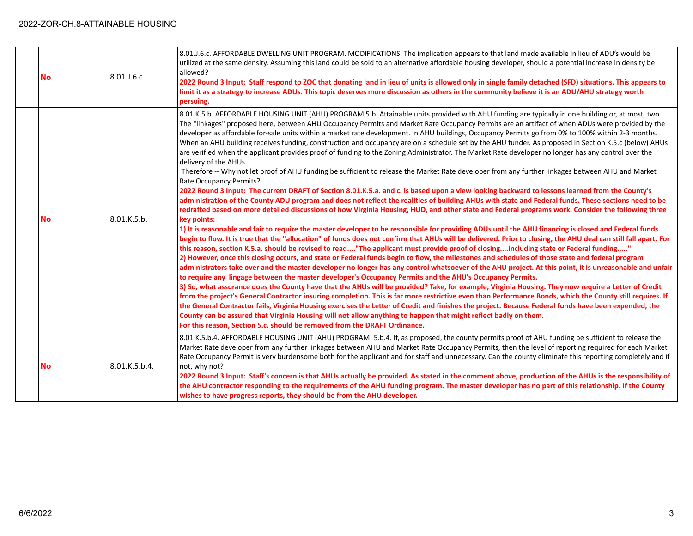## 2022-ZOR-CH.8-ATTAINABLE HOUSING

| <b>No</b> | 8.01.J.6.c    | 8.01.J.6.c. AFFORDABLE DWELLING UNIT PROGRAM. MODIFICATIONS. The implication appears to that land made available in lieu of ADU's would be<br>utilized at the same density. Assuming this land could be sold to an alternative affordable housing developer, should a potential increase in density be<br>allowed?<br>2022 Round 3 Input: Staff respond to ZOC that donating land in lieu of units is allowed only in single family detached (SFD) situations. This appears to<br>limit it as a strategy to increase ADUs. This topic deserves more discussion as others in the community believe it is an ADU/AHU strategy worth<br>persuing.                                                                                                                                                                                                                                                                                                                                                                                                                                                                                                                                                                                                                                                                                                                                                                                                                                                                                                                                                                                                                                                                                                                                                                                                                                                                                                                                                                                                                                                                                                                                                                                                                                                                                                                                                                                                                                                                                                                                                                                                                                                                                                                                                                                                                                                                                                                                                                                              |
|-----------|---------------|---------------------------------------------------------------------------------------------------------------------------------------------------------------------------------------------------------------------------------------------------------------------------------------------------------------------------------------------------------------------------------------------------------------------------------------------------------------------------------------------------------------------------------------------------------------------------------------------------------------------------------------------------------------------------------------------------------------------------------------------------------------------------------------------------------------------------------------------------------------------------------------------------------------------------------------------------------------------------------------------------------------------------------------------------------------------------------------------------------------------------------------------------------------------------------------------------------------------------------------------------------------------------------------------------------------------------------------------------------------------------------------------------------------------------------------------------------------------------------------------------------------------------------------------------------------------------------------------------------------------------------------------------------------------------------------------------------------------------------------------------------------------------------------------------------------------------------------------------------------------------------------------------------------------------------------------------------------------------------------------------------------------------------------------------------------------------------------------------------------------------------------------------------------------------------------------------------------------------------------------------------------------------------------------------------------------------------------------------------------------------------------------------------------------------------------------------------------------------------------------------------------------------------------------------------------------------------------------------------------------------------------------------------------------------------------------------------------------------------------------------------------------------------------------------------------------------------------------------------------------------------------------------------------------------------------------------------------------------------------------------------------------------------------------|
| No        | 8.01.K.5.b.   | 8.01 K.5.b. AFFORDABLE HOUSING UNIT (AHU) PROGRAM 5.b. Attainable units provided with AHU funding are typically in one building or, at most, two.<br>The "linkages" proposed here, between AHU Occupancy Permits and Market Rate Occupancy Permits are an artifact of when ADUs were provided by the<br>developer as affordable for-sale units within a market rate development. In AHU buildings, Occupancy Permits go from 0% to 100% within 2-3 months.<br>When an AHU building receives funding, construction and occupancy are on a schedule set by the AHU funder. As proposed in Section K.5.c (below) AHUs<br>are verified when the applicant provides proof of funding to the Zoning Administrator. The Market Rate developer no longer has any control over the<br>delivery of the AHUs.<br>Therefore -- Why not let proof of AHU funding be sufficient to release the Market Rate developer from any further linkages between AHU and Market<br>Rate Occupancy Permits?<br>2022 Round 3 Input: The current DRAFT of Section 8.01.K.5.a. and c. is based upon a view looking backward to lessons learned from the County's<br>administration of the County ADU program and does not reflect the realities of building AHUs with state and Federal funds. These sections need to be<br>redrafted based on more detailed discussions of how Virginia Housing, HUD, and other state and Federal programs work. Consider the following three<br>key points:<br>1) It is reasonable and fair to require the master developer to be responsible for providing ADUs until the AHU financing is closed and Federal funds<br>begin to flow. It is true that the "allocation" of funds does not confirm that AHUs will be delivered. Prior to closing, the AHU deal can still fall apart. For<br>this reason, section K.5.a. should be revised to read"The applicant must provide proof of closingincluding state or Federal funding"<br>2) However, once this closing occurs, and state or Federal funds begin to flow, the milestones and schedules of those state and federal program<br>administrators take over and the master developer no longer has any control whatsoever of the AHU project. At this point, it is unreasonable and unfair<br>to require any lingage between the master developer's Occupancy Permits and the AHU's Occupancy Permits.<br>3) So, what assurance does the County have that the AHUs will be provided? Take, for example, Virginia Housing. They now require a Letter of Credit<br>from the project's General Contractor insuring completion. This is far more restrictive even than Performance Bonds, which the County still requires. If<br>the General Contractor fails, Virginia Housing exercises the Letter of Credit and finishes the project. Because Federal funds have been expended, the<br>County can be assured that Virginia Housing will not allow anything to happen that might reflect badly on them.<br>For this reason, Section 5.c. should be removed from the DRAFT Ordinance. |
| <b>No</b> | 8.01.K.5.b.4. | 8.01 K.5.b.4. AFFORDABLE HOUSING UNIT (AHU) PROGRAM: 5.b.4. If, as proposed, the county permits proof of AHU funding be sufficient to release the<br>Market Rate developer from any further linkages between AHU and Market Rate Occupancy Permits, then the level of reporting required for each Market<br>Rate Occupancy Permit is very burdensome both for the applicant and for staff and unnecessary. Can the county eliminate this reporting completely and if<br>not, why not?<br>2022 Round 3 Input: Staff's concern is that AHUs actually be provided. As stated in the comment above, production of the AHUs is the responsibility of<br>the AHU contractor responding to the requirements of the AHU funding program. The master developer has no part of this relationship. If the County<br>wishes to have progress reports, they should be from the AHU developer.                                                                                                                                                                                                                                                                                                                                                                                                                                                                                                                                                                                                                                                                                                                                                                                                                                                                                                                                                                                                                                                                                                                                                                                                                                                                                                                                                                                                                                                                                                                                                                                                                                                                                                                                                                                                                                                                                                                                                                                                                                                                                                                                                            |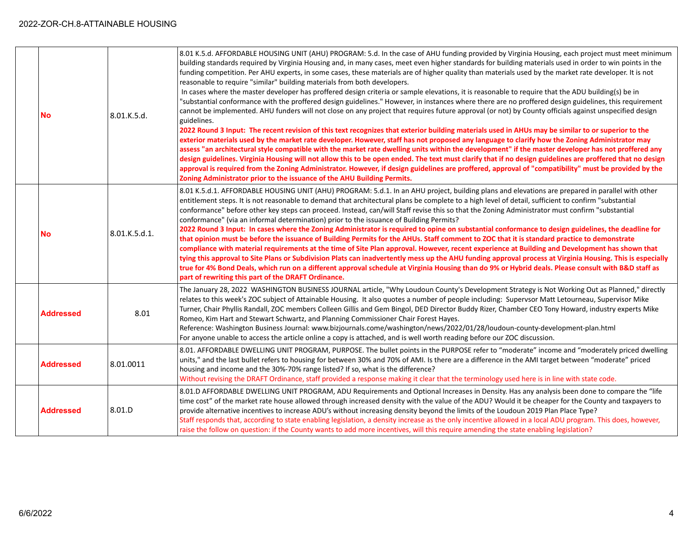| <b>No</b>        | 8.01.K.5.d.   | 8.01 K.5.d. AFFORDABLE HOUSING UNIT (AHU) PROGRAM: 5.d. In the case of AHU funding provided by Virginia Housing, each project must meet minimum<br>building standards required by Virginia Housing and, in many cases, meet even higher standards for building materials used in order to win points in the<br>funding competition. Per AHU experts, in some cases, these materials are of higher quality than materials used by the market rate developer. It is not<br>reasonable to require "similar" building materials from both developers.<br>In cases where the master developer has proffered design criteria or sample elevations, it is reasonable to require that the ADU building(s) be in<br>"substantial conformance with the proffered design guidelines." However, in instances where there are no proffered design guidelines, this requirement<br>cannot be implemented. AHU funders will not close on any project that requires future approval (or not) by County officials against unspecified design<br>guidelines.<br>2022 Round 3 Input: The recent revision of this text recognizes that exterior building materials used in AHUs may be similar to or superior to the<br>exterior materials used by the market rate developer. However, staff has not proposed any language to clarify how the Zoning Administrator may<br>assess "an architectural style compatible with the market rate dwelling units within the development" if the master developer has not proffered any<br>design guidelines. Virginia Housing will not allow this to be open ended. The text must clarify that if no design guidelines are proffered that no design<br>approval is required from the Zoning Administrator. However, if design guidelines are proffered, approval of "compatibility" must be provided by the<br>Zoning Administrator prior to the issuance of the AHU Building Permits. |
|------------------|---------------|-----------------------------------------------------------------------------------------------------------------------------------------------------------------------------------------------------------------------------------------------------------------------------------------------------------------------------------------------------------------------------------------------------------------------------------------------------------------------------------------------------------------------------------------------------------------------------------------------------------------------------------------------------------------------------------------------------------------------------------------------------------------------------------------------------------------------------------------------------------------------------------------------------------------------------------------------------------------------------------------------------------------------------------------------------------------------------------------------------------------------------------------------------------------------------------------------------------------------------------------------------------------------------------------------------------------------------------------------------------------------------------------------------------------------------------------------------------------------------------------------------------------------------------------------------------------------------------------------------------------------------------------------------------------------------------------------------------------------------------------------------------------------------------------------------------------------------------------------------------------------------------------------------------|
| No               | 8.01.K.5.d.1. | 8.01 K.5.d.1. AFFORDABLE HOUSING UNIT (AHU) PROGRAM: 5.d.1. In an AHU project, building plans and elevations are prepared in parallel with other<br>entitlement steps. It is not reasonable to demand that architectural plans be complete to a high level of detail, sufficient to confirm "substantial<br>conformance" before other key steps can proceed. Instead, can/will Staff revise this so that the Zoning Administrator must confirm "substantial<br>conformance" (via an informal determination) prior to the issuance of Building Permits?<br>2022 Round 3 Input: In cases where the Zoning Administrator is required to opine on substantial conformance to design guidelines, the deadline for<br>that opinion must be before the issuance of Building Permits for the AHUs. Staff comment to ZOC that it is standard practice to demonstrate<br>compliance with material requirements at the time of Site Plan approval. However, recent experience at Building and Development has shown that<br>tying this approval to Site Plans or Subdivision Plats can inadvertently mess up the AHU funding approval process at Virginia Housing. This is especially<br>true for 4% Bond Deals, which run on a different approval schedule at Virginia Housing than do 9% or Hybrid deals. Please consult with B&D staff as<br>part of rewriting this part of the DRAFT Ordinance.                                                                                                                                                                                                                                                                                                                                                                                                                                                                                                                  |
| <b>Addressed</b> | 8.01          | The January 28, 2022 WASHINGTON BUSINESS JOURNAL article, "Why Loudoun County's Development Strategy is Not Working Out as Planned," directly<br>relates to this week's ZOC subject of Attainable Housing. It also quotes a number of people including: Supervsor Matt Letourneau, Supervisor Mike<br>Turner, Chair Phyllis Randall, ZOC members Colleen Gillis and Gem Bingol, DED Director Buddy Rizer, Chamber CEO Tony Howard, industry experts Mike<br>Romeo, Kim Hart and Stewart Schwartz, and Planning Commissioner Chair Forest Hayes.<br>Reference: Washington Business Journal: www.bizjournals.come/washington/news/2022/01/28/loudoun-county-development-plan.html<br>For anyone unable to access the article online a copy is attached, and is well worth reading before our ZOC discussion.                                                                                                                                                                                                                                                                                                                                                                                                                                                                                                                                                                                                                                                                                                                                                                                                                                                                                                                                                                                                                                                                                                |
| <b>Addressed</b> | 8.01.0011     | 8.01. AFFORDABLE DWELLING UNIT PROGRAM, PURPOSE. The bullet points in the PURPOSE refer to "moderate" income and "moderately priced dwelling<br>units," and the last bullet refers to housing for between 30% and 70% of AMI. Is there are a difference in the AMI target between "moderate" priced<br>housing and income and the 30%-70% range listed? If so, what is the difference?<br>Without revising the DRAFT Ordinance, staff provided a response making it clear that the terminology used here is in line with state code.                                                                                                                                                                                                                                                                                                                                                                                                                                                                                                                                                                                                                                                                                                                                                                                                                                                                                                                                                                                                                                                                                                                                                                                                                                                                                                                                                                      |
| <b>Addressed</b> | 8.01.D        | 8.01.D AFFORDABLE DWELLING UNIT PROGRAM, ADU Requirements and Optional Increases in Density. Has any analysis been done to compare the "life<br>time cost" of the market rate house allowed through increased density with the value of the ADU? Would it be cheaper for the County and taxpayers to<br>provide alternative incentives to increase ADU's without increasing density beyond the limits of the Loudoun 2019 Plan Place Type?<br>Staff responds that, according to state enabling legislation, a density increase as the only incentive allowed in a local ADU program. This does, however,<br>raise the follow on question: if the County wants to add more incentives, will this require amending the state enabling legislation?                                                                                                                                                                                                                                                                                                                                                                                                                                                                                                                                                                                                                                                                                                                                                                                                                                                                                                                                                                                                                                                                                                                                                          |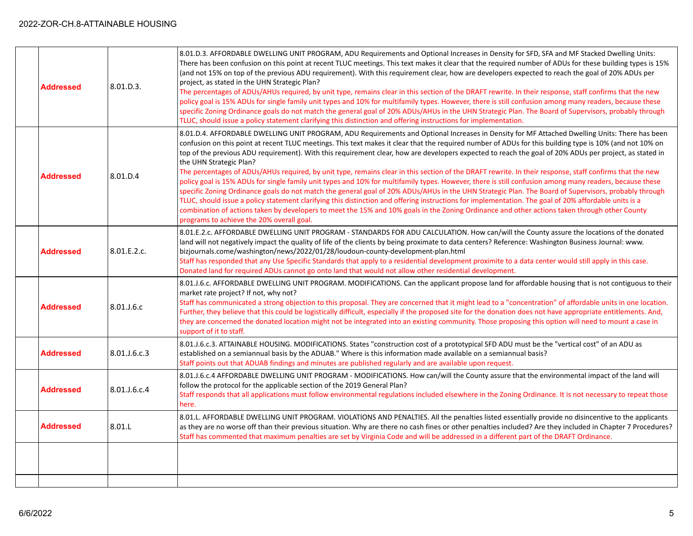## 2022-ZOR-CH.8-ATTAINABLE HOUSING

| <b>Addressed</b> | 8.01.D.3.    | 8.01.D.3. AFFORDABLE DWELLING UNIT PROGRAM, ADU Requirements and Optional Increases in Density for SFD, SFA and MF Stacked Dwelling Units:<br>There has been confusion on this point at recent TLUC meetings. This text makes it clear that the required number of ADUs for these building types is 15%<br>(and not 15% on top of the previous ADU requirement). With this requirement clear, how are developers expected to reach the goal of 20% ADUs per<br>project, as stated in the UHN Strategic Plan?<br>The percentages of ADUs/AHUs required, by unit type, remains clear in this section of the DRAFT rewrite. In their response, staff confirms that the new<br>policy goal is 15% ADUs for single family unit types and 10% for multifamily types. However, there is still confusion among many readers, because these<br>specific Zoning Ordinance goals do not match the general goal of 20% ADUs/AHUs in the UHN Strategic Plan. The Board of Supervisors, probably through<br>TLUC, should issue a policy statement clarifying this distinction and offering instructions for implementation.                                                                                                                                                                                                                       |
|------------------|--------------|-------------------------------------------------------------------------------------------------------------------------------------------------------------------------------------------------------------------------------------------------------------------------------------------------------------------------------------------------------------------------------------------------------------------------------------------------------------------------------------------------------------------------------------------------------------------------------------------------------------------------------------------------------------------------------------------------------------------------------------------------------------------------------------------------------------------------------------------------------------------------------------------------------------------------------------------------------------------------------------------------------------------------------------------------------------------------------------------------------------------------------------------------------------------------------------------------------------------------------------------------------------------------------------------------------------------------------------|
| <b>Addressed</b> | 8.01.D.4     | 8.01.D.4. AFFORDABLE DWELLING UNIT PROGRAM, ADU Requirements and Optional Increases in Density for MF Attached Dwelling Units: There has been<br>confusion on this point at recent TLUC meetings. This text makes it clear that the required number of ADUs for this building type is 10% (and not 10% on<br>top of the previous ADU requirement). With this requirement clear, how are developers expected to reach the goal of 20% ADUs per project, as stated in<br>the UHN Strategic Plan?<br>The percentages of ADUs/AHUs required, by unit type, remains clear in this section of the DRAFT rewrite. In their response, staff confirms that the new<br>policy goal is 15% ADUs for single family unit types and 10% for multifamily types. However, there is still confusion among many readers, because these<br>specific Zoning Ordinance goals do not match the general goal of 20% ADUs/AHUs in the UHN Strategic Plan. The Board of Supervisors, probably through<br>TLUC, should issue a policy statement clarifying this distinction and offering instructions for implementation. The goal of 20% affordable units is a<br>combination of actions taken by developers to meet the 15% and 10% goals in the Zoning Ordinance and other actions taken through other County<br>programs to achieve the 20% overall goal. |
| <b>Addressed</b> | 8.01.E.2.c.  | 8.01.E.2.c. AFFORDABLE DWELLING UNIT PROGRAM - STANDARDS FOR ADU CALCULATION. How can/will the County assure the locations of the donated<br>land will not negatively impact the quality of life of the clients by being proximate to data centers? Reference: Washington Business Journal: www.<br>bizjournals.come/washington/news/2022/01/28/loudoun-county-development-plan.html<br>Staff has responded that any Use Specific Standards that apply to a residential development proximite to a data center would still apply in this case.<br>Donated land for required ADUs cannot go onto land that would not allow other residential development.                                                                                                                                                                                                                                                                                                                                                                                                                                                                                                                                                                                                                                                                            |
| Addressed        | 8.01.J.6.c   | 8.01.J.6.c. AFFORDABLE DWELLING UNIT PROGRAM. MODIFICATIONS. Can the applicant propose land for affordable housing that is not contiguous to their<br>market rate project? If not, why not?<br>Staff has communicated a strong objection to this proposal. They are concerned that it might lead to a "concentration" of affordable units in one location.<br>Further, they believe that this could be logistically difficult, especially if the proposed site for the donation does not have appropriate entitlements. And,<br>they are concerned the donated location might not be integrated into an existing community. Those proposing this option will need to mount a case in<br>support of it to staff.                                                                                                                                                                                                                                                                                                                                                                                                                                                                                                                                                                                                                     |
| <b>Addressed</b> | 8.01.J.6.c.3 | 8.01.J.6.c.3. ATTAINABLE HOUSING. MODIFICATIONS. States "construction cost of a prototypical SFD ADU must be the "vertical cost" of an ADU as<br>established on a semiannual basis by the ADUAB." Where is this information made available on a semiannual basis?<br>Staff points out that ADUAB findings and minutes are published regularly and are available upon request.                                                                                                                                                                                                                                                                                                                                                                                                                                                                                                                                                                                                                                                                                                                                                                                                                                                                                                                                                       |
| <b>Addressed</b> | 8.01.J.6.c.4 | 8.01.J.6.c.4 AFFORDABLE DWELLING UNIT PROGRAM - MODIFICATIONS. How can/will the County assure that the environmental impact of the land will<br>follow the protocol for the applicable section of the 2019 General Plan?<br>Staff responds that all applications must follow environmental regulations included elsewhere in the Zoning Ordinance. It is not necessary to repeat those<br>here.                                                                                                                                                                                                                                                                                                                                                                                                                                                                                                                                                                                                                                                                                                                                                                                                                                                                                                                                     |
| <b>Addressed</b> | 8.01.L       | 8.01.L. AFFORDABLE DWELLING UNIT PROGRAM. VIOLATIONS AND PENALTIES. All the penalties listed essentially provide no disincentive to the applicants<br>as they are no worse off than their previous situation. Why are there no cash fines or other penalties included? Are they included in Chapter 7 Procedures?<br>Staff has commented that maximum penalties are set by Virginia Code and will be addressed in a different part of the DRAFT Ordinance.                                                                                                                                                                                                                                                                                                                                                                                                                                                                                                                                                                                                                                                                                                                                                                                                                                                                          |
|                  |              |                                                                                                                                                                                                                                                                                                                                                                                                                                                                                                                                                                                                                                                                                                                                                                                                                                                                                                                                                                                                                                                                                                                                                                                                                                                                                                                                     |
|                  |              |                                                                                                                                                                                                                                                                                                                                                                                                                                                                                                                                                                                                                                                                                                                                                                                                                                                                                                                                                                                                                                                                                                                                                                                                                                                                                                                                     |